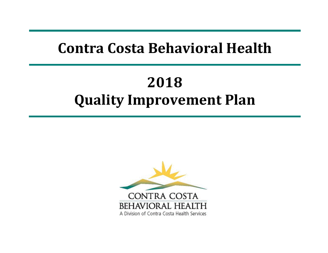# **Contra Costa Behavioral Health**

# **2018 Quality Improvement Plan**

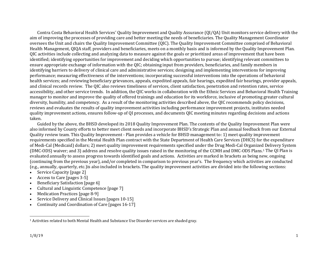<span id="page-1-0"></span>Contra Costa Behavioral Health Services' Quality Improvement and Quality Assurance (QI/QA) Unit monitors service delivery with the aim of improving the processes of providing care and better meeting the needs of beneficiaries. The Quality Management Coordinator oversees the Unit and chairs the Quality Improvement Committee (QIC). The Quality Improvement Committee comprised of Behavioral Health Management, QIQA staff, providers and beneficiaries, meets on a monthly basis and is informed by the Quality Improvement Plan. QIC activities include collecting and analyzing data to measure against the goals or prioritized areas of improvement that have been identified; identifying opportunities for improvement and deciding which opportunities to pursue; identifying relevant committees to ensure appropriate exchange of information with the QIC; obtaining input from providers, beneficiaries, and family members in identifying barriers to delivery of clinical care and administrative services; designing and implementing interventions for improving performance; measuring effectiveness of the interventions; incorporating successful interventions into the operations of behavioral health services; and reviewing beneficiary grievances, appeals, expedited appeals, fair hearings, expedited fair hearings, provider appeals, and clinical records review. The QIC also reviews timeliness of services, client satisfaction, penetration and retention rates, service accessibility, and other service trends. In addition, the QIC works in collaboration with the Ethnic Services and Behavioral Health Training manager to monitor and improve the quality of offered trainings and education for its workforce, inclusive of promoting greater cultural diversity, humility, and competency. As a result of the monitoring activities described above, the QIC recommends policy decisions, reviews and evaluates the results of quality improvement activities including performance improvement projects, institutes needed quality improvement actions, ensures follow-up of QI processes, and documents QIC meeting minutes regarding decisions and actions taken.

Guided by the above, the BHSD developed its 2018 Quality Improvement Plan. The contents of the Quality Improvement Plan were also informed by County efforts to better meet client needs and incorporate BHSD's Strategic Plan and annual feedback from our External Quality review team. This Quality Improvement - Plan provides a vehicle for BHSD management to: 1) meet quality improvement requirements specified in the Mental Health Plan contract with the State Department of Health Care Services (DHCS) for the expenditure of Medi-Cal (Medicaid) dollars; 2) meet quality improvement requirements specified under the Drug Medi-Cal Organized Delivery System (DMC-ODS) waiver; and 3) address and resolve quality issues raised in the monitoring of the CCMH and DMC-ODS Plans.[1](#page-1-0) The QI Plan is evaluated annually to assess progress towards identified goals and actions. Activities are marked in brackets as being new, ongoing (continuing from the previous year), and/or completed in comparison to previous year's. The frequency which activities are conducted (e.g., annually, quarterly, etc.)is also included in brackets. The quality improvement activities are divided into the following sections:

- Service Capacity [page 2]
- Access to Care [pages 3-5]
- Beneficiary Satisfaction [page 6]
- Cultural and Linguistic Competence [page 7]
- Medication Practices [page 8-9]
- Service Delivery and Clinical Issues [pages 10-15]
- Continuity and Coordination of Care [pages 16-17]

 <sup>1</sup> Activities related to both Mental Health and Substance Use Disorder services are shaded gray.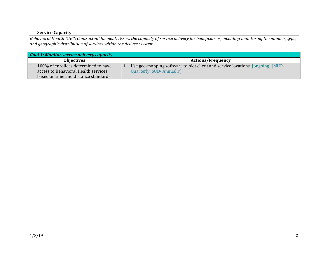# **Service Capacity**

*Behavioral Health DHCS Contractual Element: Assess the capacity of service delivery for beneficiaries, including monitoring the number, type, and geographic distribution of services within the delivery system.*

| Goal 1: Monitor service delivery capacity |                                                                                |  |  |
|-------------------------------------------|--------------------------------------------------------------------------------|--|--|
| <b>Objectives</b>                         | <b>Actions/Frequency</b>                                                       |  |  |
| 100% of enrollees determined to have      | Use geo-mapping software to plot client and service locations. [ongoing] [MHP- |  |  |
| access to Behavioral Health services      | <b>Quarterly; SUD-Annually]</b>                                                |  |  |
| based on time and distance standards.     |                                                                                |  |  |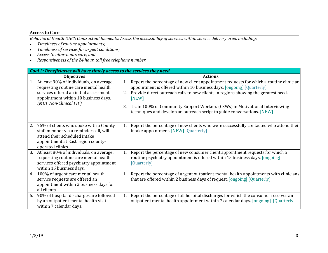#### **Access to Care**

*Behavioral Health DHCS Contractual Elements: Assess the accessibility of services within service delivery area, including:*

- *Timeliness of routine appointments;*
- *Timeliness of services for urgent conditions;*
- *Access to after-hours care; and*
- *Responsiveness of the 24 hour, toll free telephone number.*

|    | Goal 2: Beneficiaries will have timely access to the services they need                                                                                                      |                                       |                                                                                                                                                                                                                                                          |  |
|----|------------------------------------------------------------------------------------------------------------------------------------------------------------------------------|---------------------------------------|----------------------------------------------------------------------------------------------------------------------------------------------------------------------------------------------------------------------------------------------------------|--|
|    | <b>Objectives</b>                                                                                                                                                            |                                       | <b>Actions</b>                                                                                                                                                                                                                                           |  |
| 1. | At least 90% of individuals, on average,<br>requesting routine care mental health<br>services offered an initial assessment<br>appointment within 10 business days.          | [NEW]                                 | Report the percentage of new client appointment requests for which a routine clinician<br>appointment is offered within 10 business days. [ongoing] [Quarterly]<br>2. Provide direct outreach calls to new clients in regions showing the greatest need. |  |
|    | (MHP Non-Clinical PIP)                                                                                                                                                       |                                       | Train 100% of Community Support Workers (CSWs) in Motivational Interviewing<br>techniques and develop an outreach script to guide conversations. [NEW]                                                                                                   |  |
| 2. | 75% of clients who spoke with a County<br>staff member via a reminder call, will<br>attend their scheduled intake<br>appointment at East region county-<br>operated clinics. | intake appointment. [NEW] [Quarterly] | Report the percentage of new clients who were successfully contacted who attend their                                                                                                                                                                    |  |
| 3. | At least 80% of individuals, on average,<br>requesting routine care mental health<br>services offered psychiatry appointment<br>within 15 business days.                     | [Quarterly]                           | Report the percentage of new consumer client appointment requests for which a<br>routine psychiatry appointment is offered within 15 business days. [ongoing]                                                                                            |  |
| 4. | 100% of urgent care mental health<br>service requests are offered an<br>appointment within 2 business days for<br>all clients.                                               |                                       | Report the percentage of urgent outpatient mental health appointments with clinicians<br>that are offered within 2 business days of request. [ongoing] [Quarterly]                                                                                       |  |
| 5. | 90% of hospital discharges are followed<br>by an outpatient mental health visit<br>within 7 calendar days.                                                                   |                                       | Report the percentage of all hospital discharges for which the consumer receives an<br>outpatient mental health appointment within 7 calendar days. [ongoing] [Quarterly]                                                                                |  |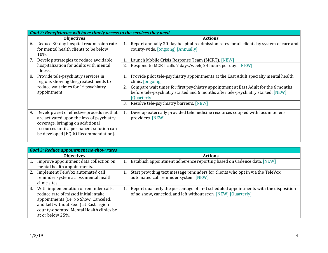|    | Goal 2: Beneficiaries will have timely access to the services they need                                                                                                                                        |    |                                                                                                                                                                                       |  |
|----|----------------------------------------------------------------------------------------------------------------------------------------------------------------------------------------------------------------|----|---------------------------------------------------------------------------------------------------------------------------------------------------------------------------------------|--|
|    | <b>Objectives</b>                                                                                                                                                                                              |    | <b>Actions</b>                                                                                                                                                                        |  |
| 6. | Reduce 30-day hospital readmission rate<br>for mental health clients to be below<br>$10\%$ .                                                                                                                   |    | Report annually 30-day hospital readmission rates for all clients by system of care and<br>county-wide. [ongoing] [Annually]                                                          |  |
| 7. | Develop strategies to reduce avoidable                                                                                                                                                                         |    | Launch Mobile Crisis Response Team (MCRT). [NEW]                                                                                                                                      |  |
|    | hospitalization for adults with mental<br>illness.                                                                                                                                                             | 2. | Respond to MCRT calls 7 days/week, 24 hours per day. [NEW]                                                                                                                            |  |
| 8. | Provide tele-psychiatry services in<br>regions showing the greatest needs to                                                                                                                                   | 1. | Provide pilot tele-psychiatry appointments at the East Adult specialty mental health<br>clinic. [ongoing]                                                                             |  |
|    | reduce wait times for 1 <sup>st</sup> psychiatry<br>appointment                                                                                                                                                | 2. | Compare wait times for first psychiatry appointment at East Adult for the 6 months<br>before tele-psychiatry started and 6 months after tele-psychiatry started. [NEW]<br>[Quarterly] |  |
|    |                                                                                                                                                                                                                | 3. | Resolve tele-psychiatry barriers. [NEW]                                                                                                                                               |  |
| 9. | Develop a set of effective procedures that<br>are activated upon the loss of psychiatry<br>coverage, bringing on additional<br>resources until a permanent solution can<br>be developed [EQRO Recommendation]. |    | Develop externally provided telemedicine resources coupled with locum tenens<br>providers. [NEW]                                                                                      |  |

|    | <b>Goal 3: Reduce appointment no-show rates</b>                                                                                                                                                                                  |                                                                                                                                                        |
|----|----------------------------------------------------------------------------------------------------------------------------------------------------------------------------------------------------------------------------------|--------------------------------------------------------------------------------------------------------------------------------------------------------|
|    | <b>Objectives</b>                                                                                                                                                                                                                | <b>Actions</b>                                                                                                                                         |
| 1. | Improve appointment data collection on<br>mental health appointments.                                                                                                                                                            | Establish appointment adherence reporting based on Cadence data. [NEW]                                                                                 |
| 2. | Implement TeleVox automated call<br>reminder system across mental health<br>clinic sites.                                                                                                                                        | Start providing text message reminders for clients who opt in via the TeleVox<br>automated call reminder system. [NEW]                                 |
| 3. | With implementation of reminder calls,<br>reduce rate of missed initial intake<br>appointments (i.e. No Show, Canceled,<br>and Left without Seen) at East region<br>county-operated Mental Health clinics be<br>at or below 25%. | Report quarterly the percentage of first scheduled appointments with the disposition<br>of no show, canceled, and left without seen. [NEW] [Quarterly] |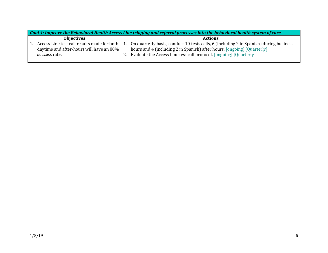| Goal 4: Improve the Behavioral Health Access Line triaging and referral processes into the behavioral health system of care |                                                                                                 |  |                                                                                                                                                                   |
|-----------------------------------------------------------------------------------------------------------------------------|-------------------------------------------------------------------------------------------------|--|-------------------------------------------------------------------------------------------------------------------------------------------------------------------|
|                                                                                                                             | <b>Objectives</b>                                                                               |  | <b>Actions</b>                                                                                                                                                    |
|                                                                                                                             | Access Line test call results made for both   1.<br>daytime and after-hours will have an $80\%$ |  | On quarterly basis, conduct 10 tests calls, 6 (including 2 in Spanish) during business<br>hours and 4 (including 2 in Spanish) after hours. [ongoing] [Quarterly] |
| success rate.                                                                                                               |                                                                                                 |  | Evaluate the Access Line test call protocol. [ongoing] [Quarterly]                                                                                                |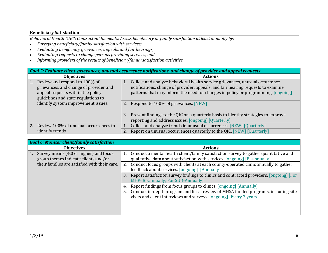#### **Beneficiary Satisfaction**

*Behavioral Health DHCS Contractual Elements: Assess beneficiary or family satisfaction at least annually by:*

- *Surveying beneficiary/family satisfaction with services;*
- *Evaluating beneficiary grievances, appeals, and fair hearings;*
- *Evaluating requests to change persons providing services; and*
- *Informing providers of the results of beneficiary/family satisfaction activities.*

| Goal 5: Evaluate client grievances, unusual occurrence notifications, and change of provider and appeal requests |                                                                                                                                                                  |  |  |
|------------------------------------------------------------------------------------------------------------------|------------------------------------------------------------------------------------------------------------------------------------------------------------------|--|--|
| <b>Objectives</b>                                                                                                | <b>Actions</b>                                                                                                                                                   |  |  |
| Review and respond to 100% of<br>$\vert 1. \vert$<br>grievances, and change of provider and                      | Collect and analyze behavioral health service grievances, unusual occurrence<br>notifications, change of provider, appeals, and fair hearing requests to examine |  |  |
| appeal requests within the policy<br>guidelines and state regulations to                                         | patterns that may inform the need for changes in policy or programming. [ongoing]                                                                                |  |  |
| identify system improvement issues.                                                                              | Respond to 100% of grievances. [NEW]<br>2.                                                                                                                       |  |  |
|                                                                                                                  | Present findings to the QIC on a quarterly basis to identify strategies to improve<br>3.                                                                         |  |  |
|                                                                                                                  | reporting and address issues. [ongoing] [Quarterly]                                                                                                              |  |  |
| Review 100% of unusual occurrences to                                                                            | Collect and analyze trends in unusual occurrences. [NEW] [Quarterly]                                                                                             |  |  |
| identify trends                                                                                                  | Report on unusual occurrences quarterly to the QIC. [NEW] [Quarterly]                                                                                            |  |  |

| <b>Goal 6: Monitor client/family satisfaction</b>    |                                                                                               |
|------------------------------------------------------|-----------------------------------------------------------------------------------------------|
| <b>Objectives</b>                                    | <b>Actions</b>                                                                                |
| Survey means (4.0 or higher) and focus<br>$\vert$ 1. | Conduct a mental health client/family satisfaction survey to gather quantitative and          |
| group themes indicate clients and/or                 | qualitative data about satisfaction with services. [ongoing] [Bi-annually]                    |
| their families are satisfied with their care.        | 2. Conduct focus groups with clients at each county-operated clinic annually to gather        |
|                                                      | feedback about services. [ongoing] [Annually]                                                 |
|                                                      | Report satisfaction survey findings to clinics and contracted providers. [ongoing] [For<br>3. |
|                                                      | MHP- Bi-annually; For SUD-Annually]                                                           |
|                                                      | Report findings from focus groups to clinics. [ongoing] [Annually]<br>4.                      |
|                                                      | Conduct in-depth program and fiscal review of MHSA funded programs, including site<br>5.      |
|                                                      | visits and client interviews and surveys. [ongoing] [Every 3 years]                           |
|                                                      |                                                                                               |
|                                                      |                                                                                               |
|                                                      |                                                                                               |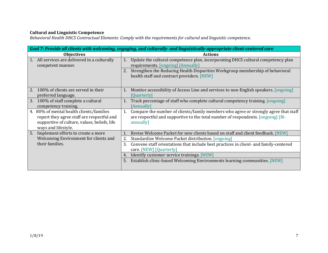#### **Cultural and Linguistic Competence**

*Behavioral Health DHCS Contractual Elements: Comply with the requirements for cultural and linguistic competence.*

| Goal 7: Provide all clients with welcoming, engaging, and culturally- and linguistically-appropriate client-centered care                                        |                                                                                                                                                                                      |  |  |
|------------------------------------------------------------------------------------------------------------------------------------------------------------------|--------------------------------------------------------------------------------------------------------------------------------------------------------------------------------------|--|--|
| <b>Objectives</b>                                                                                                                                                | <b>Actions</b>                                                                                                                                                                       |  |  |
| 1. All services are delivered in a culturally<br>competent manner.                                                                                               | Update the cultural competence plan, incorporating DHCS cultural competency plan<br>1.<br>requirements. [ongoing] [Annually]                                                         |  |  |
|                                                                                                                                                                  | Strengthen the Reducing Health Disparities Workgroup membership of behavioral<br>health staff and contract providers. [NEW]                                                          |  |  |
| 100% of clients are served in their<br>2.<br>preferred language.                                                                                                 | Monitor accessibility of Access Line and services to non-English speakers. [ongoing]<br>1.<br>[Quarterly]                                                                            |  |  |
| 100% of staff complete a cultural<br>3.<br>competency training.                                                                                                  | Track percentage of staff who complete cultural competency training. [ongoing]<br>[Annually]                                                                                         |  |  |
| 80% of mental health clients/families<br>4.<br>report they agree staff are respectful and<br>supportive of culture, values, beliefs, life<br>ways and lifestyle. | Compare the number of clients/family members who agree or strongly agree that staff<br>are respectful and supportive to the total number of respondents. [ongoing] [Bi-<br>annually] |  |  |
| 5.<br>Implement efforts to create a more                                                                                                                         | Revise Welcome Packet for new clients based on staff and client feedback. [NEW]                                                                                                      |  |  |
| Welcoming Environment for clients and                                                                                                                            | 2.<br>Standardize Welcome Packet distribution. [ongoing]                                                                                                                             |  |  |
| their families.                                                                                                                                                  | Convene staff orientations that include best practices in client- and family-centered<br>3.<br>care. [NEW] [Quarterly]                                                               |  |  |
|                                                                                                                                                                  | Identify customer service trainings. [NEW]<br>4.                                                                                                                                     |  |  |
|                                                                                                                                                                  | Establish clinic-based Welcoming Environments learning communities. [NEW]<br>5.                                                                                                      |  |  |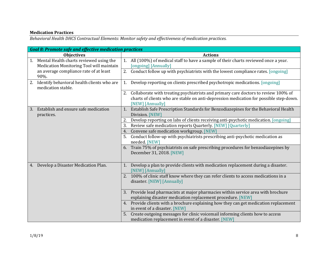# **Medication Practices**

*Behavioral Health DHCS Contractual Elements: Monitor safety and effectiveness of medication practices.*

|    | Goal 8: Promote safe and effective medication practices                             |    |                                                                                                                                                                                                     |
|----|-------------------------------------------------------------------------------------|----|-----------------------------------------------------------------------------------------------------------------------------------------------------------------------------------------------------|
|    | <b>Objectives</b>                                                                   |    | <b>Actions</b>                                                                                                                                                                                      |
| 1. | Mental Health charts reviewed using the<br>Medication Monitoring Tool will maintain |    | 1. All (100%) of medical staff to have a sample of their charts reviewed once a year.<br>[ongoing] [Annually]                                                                                       |
|    | an average compliance rate of at least<br>90%.                                      |    | 2. Conduct follow up with psychiatrists with the lowest compliance rates. [ongoing]                                                                                                                 |
| 2. | Identify behavioral health clients who are<br>medication stable.                    |    | 1. Develop reporting on clients prescribed psychotropic medications. [ongoing]                                                                                                                      |
|    |                                                                                     |    | 2. Collaborate with treating psychiatrists and primary care doctors to review 100% of<br>charts of clients who are stable on anti-depression medication for possible step-down.<br>[NEW] [Annually] |
| 3. | Establish and ensure safe medication<br>practices.                                  | 1. | Establish Safe Prescription Standards for Benzodiazepines for the Behavioral Health<br>Division. [NEW]                                                                                              |
|    |                                                                                     |    | 2. Develop reporting on labs of clients receiving anti-psychotic medication. [ongoing]                                                                                                              |
|    |                                                                                     | 3. | Review safe medication reports Quarterly. [NEW] [Quarterly]                                                                                                                                         |
|    |                                                                                     | 4. | Convene safe medication workgroup. [NEW]                                                                                                                                                            |
|    |                                                                                     |    | Conduct follow-up with psychiatrists prescribing anti-psychotic medication as<br>needed. [NEW]                                                                                                      |
|    |                                                                                     | 6. | Train 75% of psychiatrists on safe prescribing procedures for benzodiazepines by<br>December 31, 2018. [NEW]                                                                                        |
| 4. | Develop a Disaster Medication Plan.                                                 |    | 1. Develop a plan to provide clients with medication replacement during a disaster.<br>[NEW] [Annually]                                                                                             |
|    |                                                                                     | 2. | 100% of clinic staff know where they can refer clients to access medications in a<br>disaster. [NEW] [Annually]                                                                                     |
|    |                                                                                     |    | 3. Provide lead pharmacists at major pharmacies within service area with brochure<br>explaining disaster medication replacement procedure. [NEW]                                                    |
|    |                                                                                     |    | 4. Provide clients with a brochure explaining how they can get medication replacement<br>in event of a disaster. [NEW]                                                                              |
|    |                                                                                     | 5. | Create outgoing messages for clinic voicemail informing clients how to access<br>medication replacement in event of a disaster. [NEW]                                                               |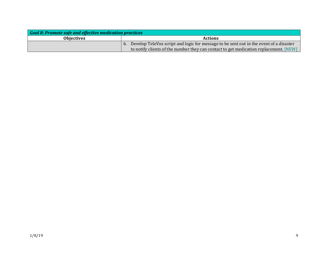| Goal 8: Promote safe and effective medication practices |                                                                                           |  |
|---------------------------------------------------------|-------------------------------------------------------------------------------------------|--|
| <b>Objectives</b>                                       | <b>Actions</b>                                                                            |  |
|                                                         | 6. Develop TeleVox script and logic for message to be sent out in the event of a disaster |  |
|                                                         | to notify clients of the number they can contact to get medication replacement. [NEW]     |  |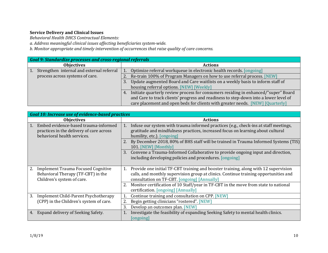## **Service Delivery and Clinical Issues**

*Behavioral Health DHCS Contractual Elements:* 

*a. Address meaningful clinical issues affecting beneficiaries system-wide.* 

*b. Monitor appropriate and timely intervention of occurrences that raise quality of care concerns.* 

| <b>Goal 9: Standardize processes and cross-regional referrals</b> |                                                                                          |  |  |
|-------------------------------------------------------------------|------------------------------------------------------------------------------------------|--|--|
| <b>Objectives</b>                                                 | <b>Actions</b>                                                                           |  |  |
| Strengthen internal and external referral                         | Optimize referral workqueue in electronic health records. [ongoing]                      |  |  |
| process across systems of care.                                   | Re-train 100% of Program Managers on how to use referral process. [NEW]                  |  |  |
|                                                                   | Update augmented Board and Care waitlists on a weekly basis to inform staff of           |  |  |
|                                                                   | housing referral options. [NEW] [Weekly]                                                 |  |  |
|                                                                   | Initiate quarterly review process for consumers residing in enhanced/"super" Board<br>4. |  |  |
|                                                                   | and Care to track clients' progress and readiness to step-down into a lower level of     |  |  |
|                                                                   | care placement and open beds for clients with greater needs. [NEW] [Quarterly]           |  |  |

| <b>Goal 10: Increase use of evidence-based practices</b>                                                            |                                      |                                                                                                                                                                                                                                                                                                       |  |
|---------------------------------------------------------------------------------------------------------------------|--------------------------------------|-------------------------------------------------------------------------------------------------------------------------------------------------------------------------------------------------------------------------------------------------------------------------------------------------------|--|
| <b>Objectives</b>                                                                                                   |                                      | <b>Actions</b>                                                                                                                                                                                                                                                                                        |  |
| 1.<br>practices in the delivery of care across<br>behavioral health services.                                       | Embed evidence-based trauma-informed | Infuse our system with trauma informed practices (e.g., check-ins at staff meetings,<br>1.<br>gratitude and mindfulness practices, increased focus on learning about cultural<br>humility, etc.). [ongoing]<br>2. By December 2018, 80% of BHS staff will be trained in Trauma Informed Systems (TIS) |  |
|                                                                                                                     |                                      | 101. [NEW] [Monthly]                                                                                                                                                                                                                                                                                  |  |
|                                                                                                                     |                                      | Convene a Trauma-Informed Collaborative to provide ongoing input and direction,<br>3.<br>including developing policies and procedures. [ongoing]                                                                                                                                                      |  |
| 2.<br><b>Implement Trauma Focused Cognitive</b><br>Behavioral Therapy (TF-CBT) in the<br>Children's system of care. |                                      | Provide one initial TF-CBT training and booster training, along with 12 supervision<br>1.<br>calls, and monthly supervision group at clinics. Continue training opportunities and<br>consultation on TF-CBT. [ongoing] [Annually]                                                                     |  |
|                                                                                                                     |                                      | Monitor certification of 10 Staff/year in TF-CBT in the move from state to national<br>certification. [ongoing] [Annually]                                                                                                                                                                            |  |
| <b>Implement Child-Parent Psychotherapy</b><br>3.                                                                   |                                      | Continue training and consultation on CPP. [NEW]                                                                                                                                                                                                                                                      |  |
| (CPP) in the Children's system of care.                                                                             |                                      | Begin getting clinicians "rostered". [NEW]<br>2.                                                                                                                                                                                                                                                      |  |
|                                                                                                                     |                                      | 3.<br>Develop an outcomes plan. [NEW]                                                                                                                                                                                                                                                                 |  |
| Expand delivery of Seeking Safety.<br>4.                                                                            |                                      | Investigate the feasibility of expanding Seeking Safety to mental health clinics.<br>[ongoing]                                                                                                                                                                                                        |  |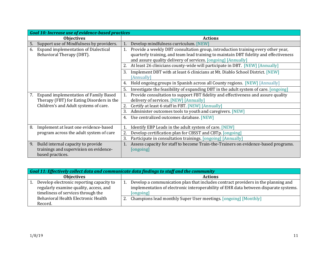| <b>Goal 10: Increase use of evidence-based practices</b> |                                                                                                   |  |
|----------------------------------------------------------|---------------------------------------------------------------------------------------------------|--|
| <b>Objectives</b>                                        | <b>Actions</b>                                                                                    |  |
| Support use of Mindfulness by providers.<br>5.           | Develop mindfulness curriculum. [NEW]<br>1.                                                       |  |
| <b>Expand implementation of Dialectical</b><br>6.        | Provide a weekly DBT consultation group, introduction training every other year,<br>1.            |  |
| Behavioral Therapy (DBT).                                | quarterly training, and team lead training to maintain DBT fidelity and effectiveness             |  |
|                                                          | and assure quality delivery of services. [ongoing] [Annually]                                     |  |
|                                                          | 2. At least 26 clinicians county-wide will participate in DBT. [NEW] [Annually]                   |  |
|                                                          | Implement DBT with at least 6 clinicians at Mt. Diablo School District. [NEW]<br>3.<br>[Annually] |  |
|                                                          | Hold ongoing groups in Spanish across all County regions. [NEW] [Annually]<br>4.                  |  |
|                                                          | Investigate the feasibility of expanding DBT in the adult system of care. [ongoing]<br>5.         |  |
| <b>Expand implementation of Family Based</b><br>7.       | Provide consultation to support FBT fidelity and effectiveness and assure quality                 |  |
| Therapy (FBT) for Eating Disorders in the                | delivery of services. [NEW] [Annually]                                                            |  |
| Children's and Adult systems of care.                    | Certify at least 6 staff in FBT. [NEW] [Annually]<br>2.                                           |  |
|                                                          | Administer outcomes tools to youth and caregivers. [NEW]<br>3.                                    |  |
|                                                          | Use centralized outcomes database. [NEW]<br>4.                                                    |  |
| Implement at least one evidence-based<br>8.              | Identify EBP Leads in the adult system of care. [NEW]                                             |  |
| program across the adult system of care                  | 2.<br>Develop certification plan for CBSST and CBTp. [ongoing]                                    |  |
|                                                          | Participate in consultation trainings. [ongoing] [Annually]<br>3.                                 |  |
| Build internal capacity to provide<br>9.                 | Assess capacity for staff to become Train-the-Trainers on evidence-based programs.                |  |
| trainings and supervision on evidence-                   | [ongoing]                                                                                         |  |
| based practices.                                         |                                                                                                   |  |

| Goal 11: Effectively collect data and communicate data findings to staff and the community                               |  |                                                                                                                                                                                        |
|--------------------------------------------------------------------------------------------------------------------------|--|----------------------------------------------------------------------------------------------------------------------------------------------------------------------------------------|
| <b>Objectives</b>                                                                                                        |  | <b>Actions</b>                                                                                                                                                                         |
| Develop electronic reporting capacity to<br>regularly examine quality, access, and<br>timeliness of services through the |  | Develop a communication plan that includes contract providers in the planning and<br>implementation of electronic interoperability of EHR data between disparate systems.<br>[ongoing] |
| Behavioral Health Electronic Health<br>Record.                                                                           |  | Champions lead monthly Super User meetings. [ongoing] [Monthly]                                                                                                                        |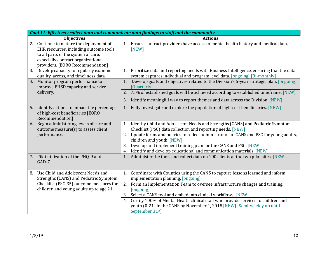|    | Goal 11: Effectively collect data and communicate data findings to staff and the community                                                                                                      |                                                                                                                                                                                                      |  |
|----|-------------------------------------------------------------------------------------------------------------------------------------------------------------------------------------------------|------------------------------------------------------------------------------------------------------------------------------------------------------------------------------------------------------|--|
|    | <b>Objectives</b>                                                                                                                                                                               | <b>Actions</b>                                                                                                                                                                                       |  |
| 2. | Continue to mature the deployment of<br>EHR resources, including outcome tools<br>to all parts of the system of care,<br>especially contract organizational<br>providers. [EQRO Recommendation] | 1. Ensure contract providers have access to mental health history and medical data.<br>[NEW]                                                                                                         |  |
| 3. | Develop capacity to regularly examine<br>quality, access, and timeliness data.                                                                                                                  | 1. Prioritize data and reporting needs with Business Intelligence, ensuring that the data<br>system captures individual and program level data. [ongoing] [Bi-monthly]                               |  |
| 4. | Monitor program performance to<br>improve BHSD capacity and service                                                                                                                             | 1.<br>Develop goals and objectives related to the Division's 5-year strategic plan. [ongoing]<br>[Quarterly]                                                                                         |  |
|    | delivery.                                                                                                                                                                                       | 2. 75% of established goals will be achieved according to established timeframe. [NEW]                                                                                                               |  |
|    |                                                                                                                                                                                                 | Identify meaningful way to report themes and data across the Division. [NEW]<br>3.                                                                                                                   |  |
| 5. | Identify actions to impact the percentage<br>of high-cost beneficiaries [EQRO<br>Recommendation]                                                                                                | 1. Fully investigate and explore the population of high-cost beneficiaries. [NEW]                                                                                                                    |  |
| 6. | Begin administering levels of care and<br>outcome measure(s) to assess client                                                                                                                   | 1. Identify Child and Adolescent Needs and Strengths (CANS) and Pediatric Symptom<br>Checklist (PSC) data collection and reporting needs. [NEW]                                                      |  |
|    | performance.                                                                                                                                                                                    | 2. Update forms and policies to reflect administration of CANS and PSC for young adults,<br>children and youth. [NEW]                                                                                |  |
|    |                                                                                                                                                                                                 | Develop and implement training plan for the CANS and PSC. [NEW]<br>3.                                                                                                                                |  |
|    |                                                                                                                                                                                                 | Identify and develop educational and communication materials. [NEW]<br>4.                                                                                                                            |  |
|    | 7. Pilot utilization of the PHQ-9 and<br>GAD-7.                                                                                                                                                 | 1. Administer the tools and collect data on 100 clients at the two pilot sites. [NEW]                                                                                                                |  |
| 8. | Use Child and Adolescent Needs and<br>Strengths (CANS) and Pediatric Symptom                                                                                                                    | 1. Coordinate with Counties using the CANS to capture lessons learned and inform<br>implementation planning. [ongoing]                                                                               |  |
|    | Checklist (PSC-35) outcome measures for<br>children and young adults up to age 21.                                                                                                              | 2. Form an Implementation Team to oversee infrastructure changes and training.<br>[ongoing]                                                                                                          |  |
|    |                                                                                                                                                                                                 | Select a CANS tool and embed into clinical workflows. [NEW]<br>3.                                                                                                                                    |  |
|    |                                                                                                                                                                                                 | Certify 100% of Mental Health clinical staff who provide services to children and<br>4.<br>youth (0-21) in the CANS by November 1, 2018. [NEW] [Semi-weekly up until<br>September 31 <sup>st</sup> ] |  |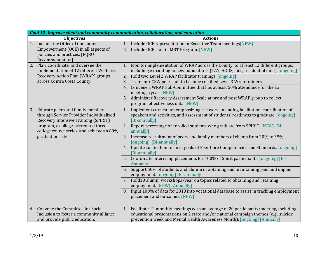|    | Goal 12: Improve client and community communication, collaboration, and education |    |                                                                                                                           |
|----|-----------------------------------------------------------------------------------|----|---------------------------------------------------------------------------------------------------------------------------|
|    | <b>Objectives</b>                                                                 |    | <b>Actions</b>                                                                                                            |
| 1. | Include the Office of Consumer                                                    |    | 1. Include OCE representation in Executive Team meetings [NEW]                                                            |
|    | Empowerment (OCE) in all aspects of                                               |    | 2. Include OCE staff in MRT Program. [NEW]                                                                                |
|    | policies and practices. [EQRO                                                     |    |                                                                                                                           |
|    | Recommendation]                                                                   |    |                                                                                                                           |
| 2. | Plan, coordinate, and oversee the                                                 |    | 1. Monitor implementation of WRAP across the County, to at least 12 different groups,                                     |
|    | implementation of 12 different Wellness                                           |    | including expanding to new populations (TAY, AODS, jails, residential men). [ongoing]                                     |
|    | Recovery Action Plan (WRAP) groups                                                |    | 2. Hold two Level 2 WRAP facilitator trainings. [ongoing]                                                                 |
|    | across Contra Costa County.                                                       | 3. | Train four CSW peer staff to become certified Level 3 Wrap trainers.                                                      |
|    |                                                                                   |    | 4. Convene a WRAP Sub-Committee that has at least 50% attendance for the 12<br>meetings/year. [NEW]                       |
|    |                                                                                   |    | 5. Administer Recovery Assessment Scale at pre and post WRAP group to collect                                             |
|    |                                                                                   |    | program effectiveness data. [NEW]                                                                                         |
| 3. | Educate peers and family members                                                  |    | 1. Implement curriculum emphasizing recovery, including facilitation, coordination of                                     |
|    | through Service Provider Individualized                                           |    | speakers and activities, and assessment of students' readiness to graduate. [ongoing]                                     |
|    | <b>Recovery Intensive Training (SPIRIT)</b>                                       |    | [Bi-annually]                                                                                                             |
|    | program, a college-accredited three                                               |    | 2. Report percentage of enrolled students who graduate from SPIRIT. [NEW] [Bi-                                            |
|    | college course series, and achieve an 80%                                         |    | annually]                                                                                                                 |
|    | graduation rate                                                                   | 3. | Increase recruitment of peers and family members of clients from 20% to 35%.                                              |
|    |                                                                                   |    | [ongoing] [Bi-annually]                                                                                                   |
|    |                                                                                   |    | 4. Update curriculum to meet goals of Peer Core Competencies and Standards. [ongoing]<br>[Bi-annually]                    |
|    |                                                                                   |    | 5. Coordinate internship placements for 100% of Spirit participants. [ongoing] [Bi-<br>Annually]                          |
|    |                                                                                   |    | 6. Support 60% of students and alumni in obtaining and maintaining paid and unpaid<br>employment. [ongoing] [Bi-annually] |
|    |                                                                                   |    | 7. Hold10 alumni workshops/year on topics related to obtaining and retaining<br>employment. [NEW] [Annually]              |
|    |                                                                                   |    | 8. Input 100% of data for 2018 into vocational database to assist in tracking employment<br>placement and outcomes. [NEW] |
| 4. | Convene the Committee for Social                                                  |    | 1. Facilitate 12 monthly meetings with an average of 20 participants/meeting, including                                   |
|    | Inclusion to foster a community alliance                                          |    | educational presentations on 2 state and/or national campaign themes (e.g., suicide                                       |
|    | and provide public education.                                                     |    | prevention week and Mental Health Awareness Month). [ongoing] [Annually]                                                  |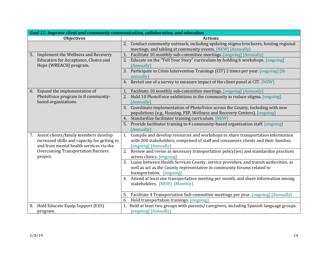| Goal 12: Improve client and community communication, collaboration, and education       |                                                                                                                                                                   |  |  |
|-----------------------------------------------------------------------------------------|-------------------------------------------------------------------------------------------------------------------------------------------------------------------|--|--|
| <b>Objectives</b>                                                                       | <b>Actions</b>                                                                                                                                                    |  |  |
|                                                                                         | 2. Conduct community outreach, including updating stigma brochures, hosting regional                                                                              |  |  |
|                                                                                         | meetings, and tabling at community events. [NEW] [Annually]                                                                                                       |  |  |
| 5. Implement the Wellness and Recovery                                                  | Facilitate 10 monthly sub-committee meetings. [ongoing] [Annually]<br>1.                                                                                          |  |  |
| Education for Acceptance, Choice and                                                    | 2. Educate on the "Tell Your Story" curriculum by holding 6 workshops. [ongoing]                                                                                  |  |  |
| Hope (WREACH) program.                                                                  | [Annually]                                                                                                                                                        |  |  |
|                                                                                         | 3. Participate in Crisis Intervention Trainings (CIT) 2 times per year. [ongoing] [Bi-<br>annually]                                                               |  |  |
|                                                                                         | 4. Revisit use of a survey to measure impact of the client panel at CIT. [NEW]                                                                                    |  |  |
| Expand the implementation of<br>6.                                                      | 1. Facilitate 10 monthly sub-committee meetings. [ongoing] [Annually]                                                                                             |  |  |
| PhotoVoice program to 8 community-<br>based organizations.                              | 2. Hold 10 PhotoVoice exhibitions in the community to reduce stigma. [ongoing]<br>[Annually]                                                                      |  |  |
|                                                                                         | Coordinate implementation of PhotoVoice across the County, including with new<br>3.<br>populations (e.g., Housing, FSP, Wellness and Recovery Centers). [ongoing] |  |  |
|                                                                                         | 4. Standardize facilitator training curriculum. [NEW]                                                                                                             |  |  |
|                                                                                         | Provide facilitator training to 4 community-based organization staff. [ongoing]<br>[Annually]                                                                     |  |  |
| 7. Assist clients/family members develop                                                | 1. Compile and develop resources and workshops to share transportation information                                                                                |  |  |
| increased skills and capacity for getting to<br>and from mental health services via the | with 200 stakeholders, comprised of staff and consumers clients and their families.<br>[ongoing] [Annually]                                                       |  |  |
| <b>Overcoming Transportation Barriers</b><br>project.                                   | 2. Review and revise as necessary transportation policy(ies) and standardize practices<br>across clinics. [ongoing]                                               |  |  |
|                                                                                         | 3. Liaise between Health Services County, service providers, and transit authorities, as                                                                          |  |  |
|                                                                                         | well as act as the County representative in community forums related to                                                                                           |  |  |
|                                                                                         | transportation. [ongoing]                                                                                                                                         |  |  |
|                                                                                         | 4. Attend at least one transportation meeting per month, and share information among<br>stakeholders. [NEW] [Monthly]                                             |  |  |
|                                                                                         | Facilitate 4 Transportation Sub-committee meetings per year. [ongoing] [Annually]<br>5.                                                                           |  |  |
|                                                                                         | Hold transportation trainings. [ongoing]<br>6.                                                                                                                    |  |  |
| Hold Educate Equip Support (EES)<br>8.                                                  | 1. Hold at least two groups with parents/ caregivers, including Spanish language groups.                                                                          |  |  |
| program.                                                                                | [ongoing] [Annually]                                                                                                                                              |  |  |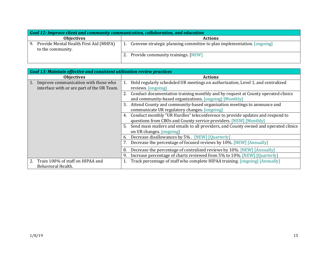| Goal 12: Improve client and community communication, collaboration, and education |                                                                        |  |
|-----------------------------------------------------------------------------------|------------------------------------------------------------------------|--|
| <b>Objectives</b>                                                                 | <b>Actions</b>                                                         |  |
| Provide Mental Health First Aid (MHFA)<br>9.<br>to the community.                 | Convene strategic planning committee to plan implementation. [ongoing] |  |
|                                                                                   | Provide community trainings. [NEW]                                     |  |

| Goal 13: Maintain effective and consistent utilization review practices |                                                                                             |
|-------------------------------------------------------------------------|---------------------------------------------------------------------------------------------|
| <b>Objectives</b>                                                       | <b>Actions</b>                                                                              |
| Improve communication with those who<br>$\left(1\right)$                | Hold regularly scheduled UR meetings on authorization, Level 1, and centralized             |
| interface with or are part of the UR Team.                              | reviews. [ongoing]                                                                          |
|                                                                         | Conduct documentation training monthly and by request at County operated clinics<br>2.      |
|                                                                         | and community-based organizations. [ongoing] [Monthly]                                      |
|                                                                         | Attend County and community-based organization meetings to announce and<br>3.               |
|                                                                         | communicate UR regulatory changes. [ongoing]                                                |
|                                                                         | Conduct monthly "UR Hurdles" teleconference to provide updates and respond to<br>4.         |
|                                                                         | questions from CBOs and County service providers. [NEW] [Monthly]                           |
|                                                                         | Send mass mailers and emails to all providers, and County owned and operated clinics<br>-5. |
|                                                                         | on UR changes. [ongoing]                                                                    |
|                                                                         | Decrease disallowances by 5%. [NEW] [Quarterly]<br>6.                                       |
|                                                                         | Decrease the percentage of focused reviews by 10%. [NEW] [Annually]                         |
|                                                                         | Decrease the percentage of centralized reviews by 10%. [NEW] [Annually]<br>8.               |
|                                                                         | Increase percentage of charts reviewed from 5% to 10%. [NEW] [Quarterly]<br>9               |
| 2.<br>Train 100% of staff on HIPAA and                                  | Track percentage of staff who complete HIPAA training. [ongoing] [Annually]                 |
| Behavioral Health.                                                      |                                                                                             |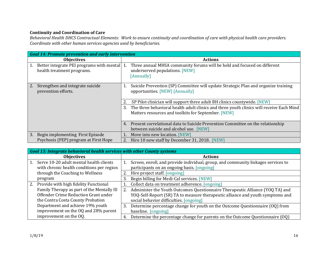## **Continuity and Coordination of Care**

*Behavioral Health DHCS Contractual Elements: Work to ensure continuity and coordination of care with physical health care providers. Coordinate with other human services agencies used by beneficiaries.*

|    | Goal 14: Promote prevention and early intervention                         |                |                                                                                                                                                 |
|----|----------------------------------------------------------------------------|----------------|-------------------------------------------------------------------------------------------------------------------------------------------------|
|    | <b>Objectives</b>                                                          | <b>Actions</b> |                                                                                                                                                 |
| 1. | Better integrate PEI programs with mental 1.<br>health treatment programs. |                | Three annual MHSA community forums will be held and focused on different<br>underserved populations. [NEW]<br>[Annually]                        |
| 2. | Strengthen and integrate suicide<br>prevention efforts.                    |                | Suicide Prevention (SP) Committee will update Strategic Plan and organize training<br>opportunities. [NEW] [Annually]                           |
|    |                                                                            |                | SP Pilot clinician will support three adult BH clinics countywide. [NEW]                                                                        |
|    |                                                                            | 3.             | The three behavioral health adult clinics and three youth clinics will receive Each Mind<br>Matters resources and toolkits for September. [NEW] |
|    |                                                                            | 4.             | Present correlational data to Suicide Prevention Committee on the relationship<br>between suicide and alcohol use. [NEW]                        |
| 3. | Begin implementing First Episode                                           |                | Move into new location. [NEW]                                                                                                                   |
|    | Psychosis (FEP) program at First Hope                                      | 2.             | Hire 10 new staff by December 31, 2018. [NEW]                                                                                                   |

| Goal 15: Integrate behavioral health services with other County systems |                                            |                                                                                     |  |
|-------------------------------------------------------------------------|--------------------------------------------|-------------------------------------------------------------------------------------|--|
|                                                                         | <b>Objectives</b>                          | <b>Actions</b>                                                                      |  |
| $\mathbf{1}$ .                                                          | Serve 10-20 adult mental health clients    | Screen, enroll, and provide individual, group, and community linkages services to   |  |
|                                                                         | with chronic health conditions per region  | participants on an ongoing basis. [ongoing]                                         |  |
|                                                                         | through the Coaching to Wellness           | 2. Hire project staff. [ongoing]                                                    |  |
|                                                                         | program                                    | Begin billing for Medi-Cal services. [NEW]<br>3.                                    |  |
| 2.                                                                      | Provide with high fidelity Functional      | Collect data on treatment adherence. [ongoing]                                      |  |
|                                                                         | Family Therapy as part of the Mentally Ill | Administer the Youth Outcomes Questionnaire Therapeutic Alliance (YOQ TA) and<br>2. |  |
|                                                                         | Offender Crime Reduction Grant under       | YOQ-Self-Report (SR) TA to measure therapeutic alliance and youth symptoms and      |  |
|                                                                         | the Contra Costa County Probation          | social behavior difficulties. [ongoing]                                             |  |
|                                                                         | Department and achieve 19% youth           | Determine percentage change for youth on the Outcome Questionnaire (OQ) from<br>3.  |  |
|                                                                         | improvement on the OQ and 28% parent       | baseline. [ongoing]                                                                 |  |
|                                                                         | improvement on the OQ.                     | Determine the percentage change for parents on the Outcome Questionnaire (OQ)<br>4. |  |